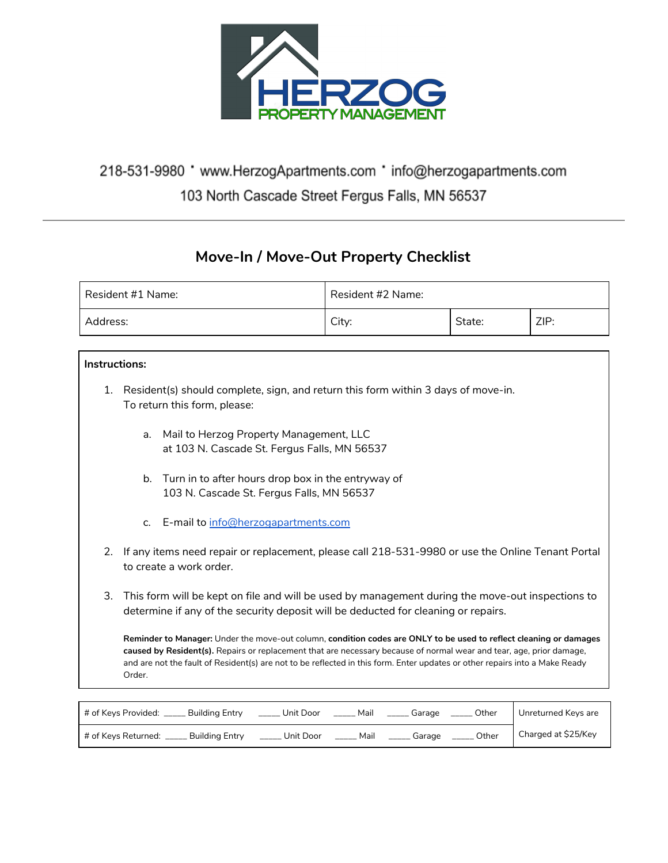

## 218-531-9980 ' www.HerzogApartments.com ' info@herzogapartments.com 103 North Cascade Street Fergus Falls, MN 56537

## **Move-In / Move-Out Property Checklist**

| Resident #1 Name: | Resident #2 Name: |        |      |
|-------------------|-------------------|--------|------|
| Address:          | Citv:             | State: | ZIP: |

## **Instructions:**

- 1. Resident(s) should complete, sign, and return this form within 3 days of move-in. To return this form, please:
	- a. Mail to Herzog Property Management, LLC at 103 N. Cascade St. Fergus Falls, MN 56537
	- b. Turn in to after hours drop box in the entryway of 103 N. Cascade St. Fergus Falls, MN 56537
	- c. E-mail to [info@herzogapartments.com](mailto:info@herzogapartments.com)
- 2. If any items need repair or replacement, please call 218-531-9980 or use the Online Tenant Portal to create a work order.
- 3. This form will be kept on file and will be used by management during the move-out inspections to determine if any of the security deposit will be deducted for cleaning or repairs.

**Reminder to Manager:** Under the move-out column, **condition codes are ONLY to be used to reflect cleaning or damages caused by Resident(s).** Repairs or replacement that are necessary because of normal wear and tear, age, prior damage, and are not the fault of Resident(s) are not to be reflected in this form. Enter updates or other repairs into a Make Ready Order.

| # of Keys Provided: _<br>Buildina Entry | Unit Door | Mail | Garage | Other | Unreturned Keys are |
|-----------------------------------------|-----------|------|--------|-------|---------------------|
| # of Keys Returned:<br>Buildina Entry   | Unit Door | Mail | Garage | Other | Charged at \$25/Key |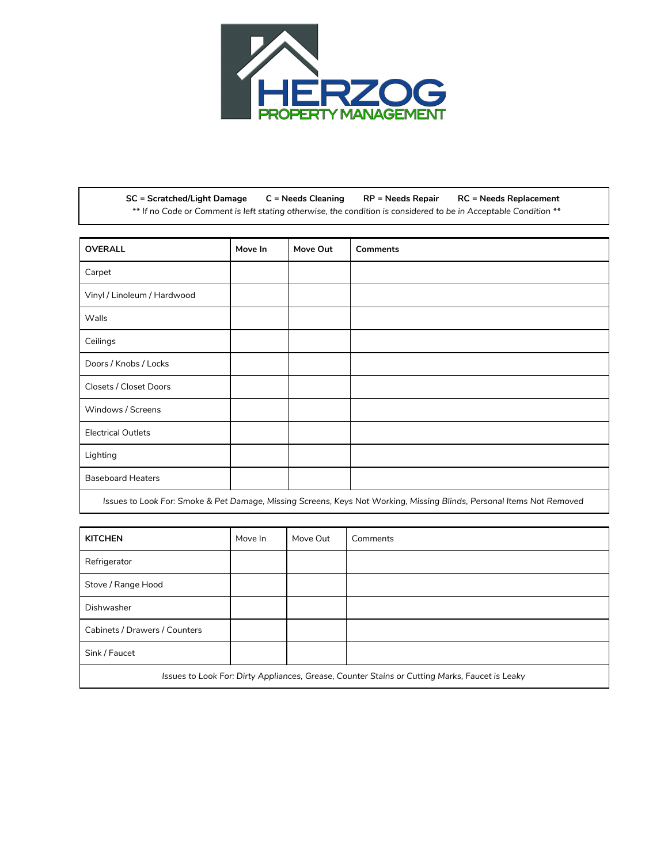

**SC = Scratched/Light Damage C = Needs Cleaning RP = Needs Repair RC = Needs Replacement** \*\* If no Code or Comment is left stating otherwise, the condition is considered to be in Acceptable Condition \*\*

| <b>OVERALL</b>              | Move In | Move Out | <b>Comments</b> |
|-----------------------------|---------|----------|-----------------|
| Carpet                      |         |          |                 |
| Vinyl / Linoleum / Hardwood |         |          |                 |
| Walls                       |         |          |                 |
| Ceilings                    |         |          |                 |
| Doors / Knobs / Locks       |         |          |                 |
| Closets / Closet Doors      |         |          |                 |
| Windows / Screens           |         |          |                 |
| <b>Electrical Outlets</b>   |         |          |                 |
| Lighting                    |         |          |                 |
| <b>Baseboard Heaters</b>    |         |          |                 |

Issues to Look For: Smoke & Pet Damage, Missing Screens, Keys Not Working, Missing Blinds, Personal Items Not Removed

| <b>KITCHEN</b>                                                                                 | Move In | Move Out | Comments |
|------------------------------------------------------------------------------------------------|---------|----------|----------|
| Refrigerator                                                                                   |         |          |          |
| Stove / Range Hood                                                                             |         |          |          |
| Dishwasher                                                                                     |         |          |          |
| Cabinets / Drawers / Counters                                                                  |         |          |          |
| Sink / Faucet                                                                                  |         |          |          |
| Issues to Look For: Dirty Appliances, Grease, Counter Stains or Cutting Marks, Faucet is Leaky |         |          |          |